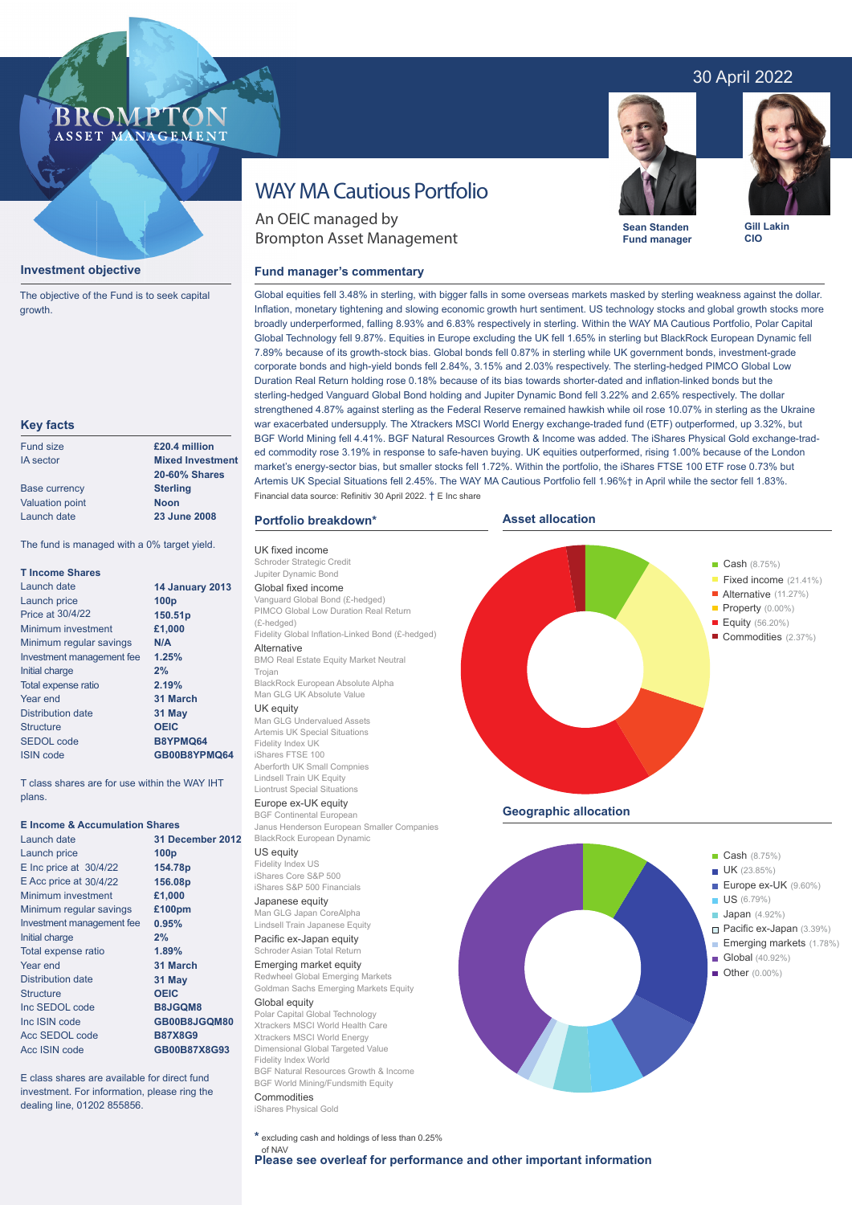## 30 April 2022

## **BROMP** ASSET MANAGEMENT

#### **Investment objective**

The objective of the Fund is to seek capital growth.

#### **Key facts**

| <b>Fund size</b>       | £20.4 million           |  |  |
|------------------------|-------------------------|--|--|
| <b>IA</b> sector       | <b>Mixed Investment</b> |  |  |
|                        | <b>20-60% Shares</b>    |  |  |
| <b>Base currency</b>   | <b>Sterling</b>         |  |  |
| <b>Valuation point</b> | <b>Noon</b>             |  |  |
| Launch date            | 23 June 2008            |  |  |
|                        |                         |  |  |

The fund is managed with a 0% target yield.

| <b>T</b> Income Shares    |                        |
|---------------------------|------------------------|
| Launch date               | <b>14 January 2013</b> |
| Launch price              | 100 <sub>p</sub>       |
| <b>Price at 30/4/22</b>   | 150.51p                |
| Minimum investment        | £1,000                 |
| Minimum regular savings   | N/A                    |
| Investment management fee | 1.25%                  |
| Initial charge            | 2%                     |
| Total expense ratio       | 2.19%                  |
| Year end                  | 31 March               |
| Distribution date         | 31 May                 |
| Structure                 | <b>OEIC</b>            |
| SEDOL code                | B8YPMQ64               |
| <b>ISIN</b> code          | GB00B8YPMQ64           |

T class shares are for use within the WAY IHT plans.

#### **E Income & Accumulation Shares**

| Launch date                | 31 December 2012 |
|----------------------------|------------------|
| Launch price               | 100 <sub>p</sub> |
| $E$ Inc price at $30/4/22$ | 154.78p          |
| E Acc price at 30/4/22     | 156.08p          |
| Minimum investment         | £1,000           |
| Minimum regular savings    | £100pm           |
| Investment management fee  | 0.95%            |
| Initial charge             | 2%               |
| Total expense ratio        | 1.89%            |
| Year end                   | 31 March         |
| Distribution date          | 31 May           |
| <b>Structure</b>           | <b>OEIC</b>      |
| Inc SEDOL code             | B8JGQM8          |
| Inc ISIN code              | GB00B8JGQM80     |
| Acc SEDOL code             | <b>B87X8G9</b>   |
| Acc ISIN code              | GB00B87X8G93     |

E class shares are available for direct fund investment. For information, please ring the dealing line, 01202 855856.

# WAY MA Cautious Portfolio

An OEIC managed by Brompton Asset Management

#### **Fund manager's commentary**



**Sean Standen Fund manager** **Gill Lakin CIO**

Cash (8.75%)

Global equities fell 3.48% in sterling, with bigger falls in some overseas markets masked by sterling weakness against the dollar. Inflation, monetary tightening and slowing economic growth hurt sentiment. US technology stocks and global growth stocks more broadly underperformed, falling 8.93% and 6.83% respectively in sterling. Within the WAY MA Cautious Portfolio, Polar Capital Global Technology fell 9.87%. Equities in Europe excluding the UK fell 1.65% in sterling but BlackRock European Dynamic fell 7.89% because of its growth-stock bias. Global bonds fell 0.87% in sterling while UK government bonds, investment-grade corporate bonds and high-yield bonds fell 2.84%, 3.15% and 2.03% respectively. The sterling-hedged PIMCO Global Low Duration Real Return holding rose 0.18% because of its bias towards shorter-dated and inflation-linked bonds but the sterling-hedged Vanguard Global Bond holding and Jupiter Dynamic Bond fell 3.22% and 2.65% respectively. The dollar strengthened 4.87% against sterling as the Federal Reserve remained hawkish while oil rose 10.07% in sterling as the Ukraine war exacerbated undersupply. The Xtrackers MSCI World Energy exchange-traded fund (ETF) outperformed, up 3.32%, but BGF World Mining fell 4.41%. BGF Natural Resources Growth & Income was added. The iShares Physical Gold exchange-traded commodity rose 3.19% in response to safe-haven buying. UK equities outperformed, rising 1.00% because of the London market's energy-sector bias, but smaller stocks fell 1.72%. Within the portfolio, the iShares FTSE 100 ETF rose 0.73% but Artemis UK Special Situations fell 2.45%. The WAY MA Cautious Portfolio fell 1.96%† in April while the sector fell 1.83%. Financial data source: Refinitiv 30 April 2022. † E Inc share

**Asset allocation**

#### **Portfolio breakdown\***

UK fixed income Schroder Strategic Credit Jupiter Dynamic Bond Global fixed income Vanguard Global Bond (£-hedged) PIMCO Global Low Duration Real Return (£-hedged) Fidelity Global Inflation-Linked Bond (£-hedged) **Alternative** BMO Real Estate Equity Market Neutral Trojan BlackRock European Absolute Alpha Man GLG UK Absolute Value UK equity Man GLG Undervalued Assets Artemis UK Special Situations

Fidelity Index UK iShares FTSE 100 Aberforth UK Small Compnies Lindsell Train UK Equity Liontrust Special Situations

### Europe ex-UK equity

BGF Continental European Janus Henderson European Smaller Companies BlackRock European Dynamic

## US equity

Fidelity Index US iShares Core S&P 500 iShares S&P 500 Financials

## Japanese equity

Man GLG Japan CoreAlpha Lindsell Train Japanese Equity Pacific ex-Japan equity Schroder Asian Total Return

## Emerging market equity

Redwheel Global Emerging Markets Goldman Sachs Emerging Markets Equity

Global equity Polar Capital Global Technology Xtrackers MSCI World Health Care Xtrackers MSCI World Energy Dimensional Global Targeted Value Fidelity Index World BGF Natural Resources Growth & Income BGF World Mining/Fundsmith Equity Commodities

iShares Physical Gold

**\*** excluding cash and holdings of less than 0.25%





**Geographic allocation**

ł